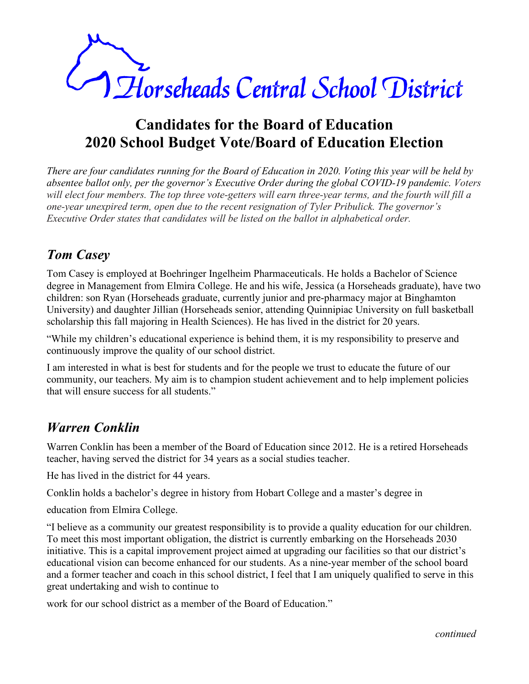

# **Candidates for the Board of Education 2020 School Budget Vote/Board of Education Election**

*There are four candidates running for the Board of Education in 2020. Voting this year will be held by absentee ballot only, per the governor's Executive Order during the global COVID-19 pandemic. Voters will elect four members. The top three vote-getters will earn three-year terms, and the fourth will fill a one-year unexpired term, open due to the recent resignation of Tyler Pribulick. The governor's Executive Order states that candidates will be listed on the ballot in alphabetical order.* 

# *Tom Casey*

Tom Casey is employed at Boehringer Ingelheim Pharmaceuticals. He holds a Bachelor of Science degree in Management from Elmira College. He and his wife, Jessica (a Horseheads graduate), have two children: son Ryan (Horseheads graduate, currently junior and pre-pharmacy major at Binghamton University) and daughter Jillian (Horseheads senior, attending Quinnipiac University on full basketball scholarship this fall majoring in Health Sciences). He has lived in the district for 20 years.

"While my children's educational experience is behind them, it is my responsibility to preserve and continuously improve the quality of our school district.

I am interested in what is best for students and for the people we trust to educate the future of our community, our teachers. My aim is to champion student achievement and to help implement policies that will ensure success for all students."

### *Warren Conklin*

Warren Conklin has been a member of the Board of Education since 2012. He is a retired Horseheads teacher, having served the district for 34 years as a social studies teacher.

He has lived in the district for 44 years.

Conklin holds a bachelor's degree in history from Hobart College and a master's degree in

education from Elmira College.

"I believe as a community our greatest responsibility is to provide a quality education for our children. To meet this most important obligation, the district is currently embarking on the Horseheads 2030 initiative. This is a capital improvement project aimed at upgrading our facilities so that our district's educational vision can become enhanced for our students. As a nine-year member of the school board and a former teacher and coach in this school district, I feel that I am uniquely qualified to serve in this great undertaking and wish to continue to

work for our school district as a member of the Board of Education."